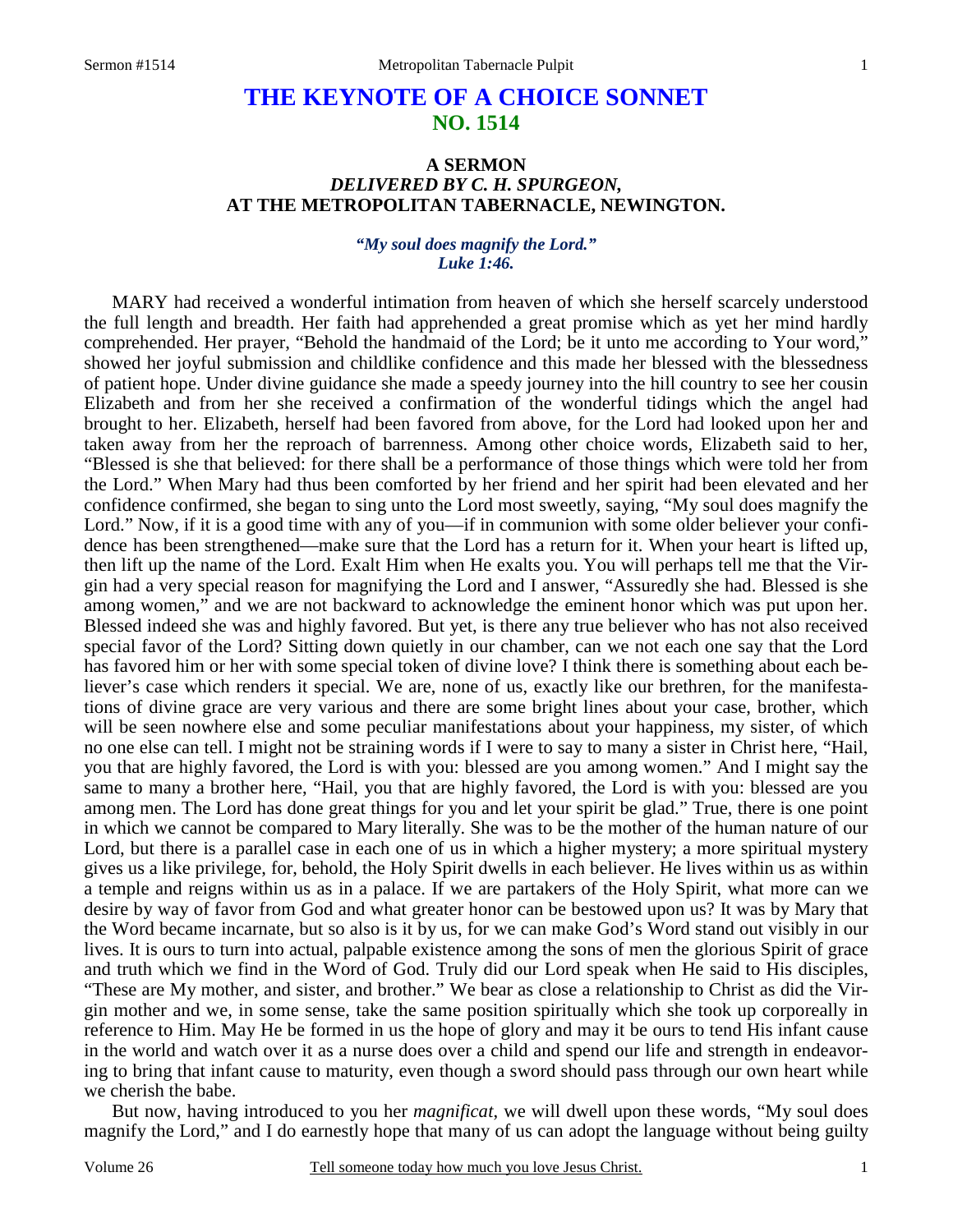# **THE KEYNOTE OF A CHOICE SONNET NO. 1514**

## **A SERMON**  *DELIVERED BY C. H. SPURGEON,*  **AT THE METROPOLITAN TABERNACLE, NEWINGTON.**

#### *"My soul does magnify the Lord." Luke 1:46.*

MARY had received a wonderful intimation from heaven of which she herself scarcely understood the full length and breadth. Her faith had apprehended a great promise which as yet her mind hardly comprehended. Her prayer, "Behold the handmaid of the Lord; be it unto me according to Your word," showed her joyful submission and childlike confidence and this made her blessed with the blessedness of patient hope. Under divine guidance she made a speedy journey into the hill country to see her cousin Elizabeth and from her she received a confirmation of the wonderful tidings which the angel had brought to her. Elizabeth, herself had been favored from above, for the Lord had looked upon her and taken away from her the reproach of barrenness. Among other choice words, Elizabeth said to her, "Blessed is she that believed: for there shall be a performance of those things which were told her from the Lord." When Mary had thus been comforted by her friend and her spirit had been elevated and her confidence confirmed, she began to sing unto the Lord most sweetly, saying, "My soul does magnify the Lord." Now, if it is a good time with any of you—if in communion with some older believer your confidence has been strengthened—make sure that the Lord has a return for it. When your heart is lifted up, then lift up the name of the Lord. Exalt Him when He exalts you. You will perhaps tell me that the Virgin had a very special reason for magnifying the Lord and I answer, "Assuredly she had. Blessed is she among women," and we are not backward to acknowledge the eminent honor which was put upon her. Blessed indeed she was and highly favored. But yet, is there any true believer who has not also received special favor of the Lord? Sitting down quietly in our chamber, can we not each one say that the Lord has favored him or her with some special token of divine love? I think there is something about each believer's case which renders it special. We are, none of us, exactly like our brethren, for the manifestations of divine grace are very various and there are some bright lines about your case, brother, which will be seen nowhere else and some peculiar manifestations about your happiness, my sister, of which no one else can tell. I might not be straining words if I were to say to many a sister in Christ here, "Hail, you that are highly favored, the Lord is with you: blessed are you among women." And I might say the same to many a brother here, "Hail, you that are highly favored, the Lord is with you: blessed are you among men. The Lord has done great things for you and let your spirit be glad." True, there is one point in which we cannot be compared to Mary literally. She was to be the mother of the human nature of our Lord, but there is a parallel case in each one of us in which a higher mystery; a more spiritual mystery gives us a like privilege, for, behold, the Holy Spirit dwells in each believer. He lives within us as within a temple and reigns within us as in a palace. If we are partakers of the Holy Spirit, what more can we desire by way of favor from God and what greater honor can be bestowed upon us? It was by Mary that the Word became incarnate, but so also is it by us, for we can make God's Word stand out visibly in our lives. It is ours to turn into actual, palpable existence among the sons of men the glorious Spirit of grace and truth which we find in the Word of God. Truly did our Lord speak when He said to His disciples, "These are My mother, and sister, and brother." We bear as close a relationship to Christ as did the Virgin mother and we, in some sense, take the same position spiritually which she took up corporeally in reference to Him. May He be formed in us the hope of glory and may it be ours to tend His infant cause in the world and watch over it as a nurse does over a child and spend our life and strength in endeavoring to bring that infant cause to maturity, even though a sword should pass through our own heart while we cherish the babe.

 But now, having introduced to you her *magnificat*, we will dwell upon these words, "My soul does magnify the Lord," and I do earnestly hope that many of us can adopt the language without being guilty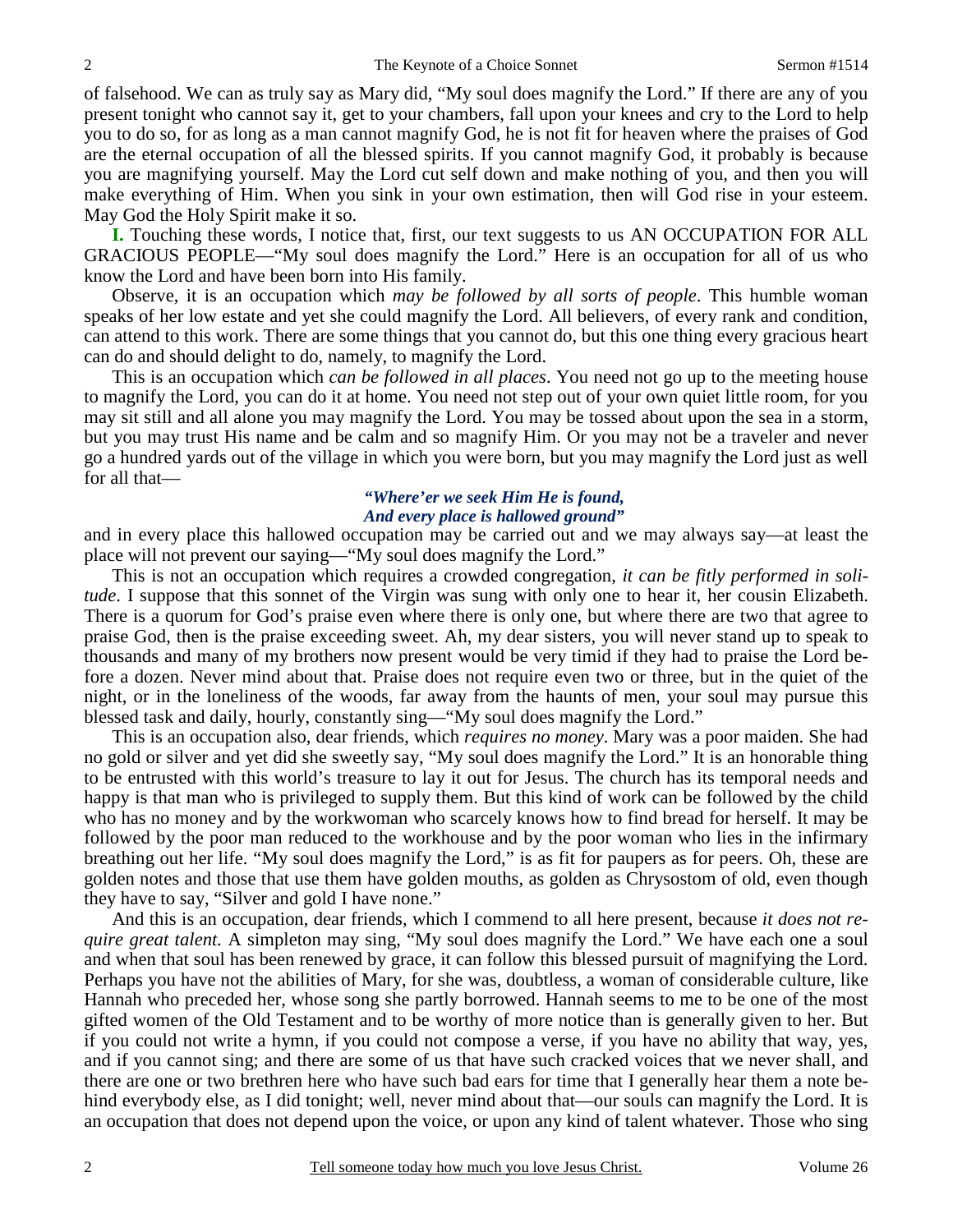of falsehood. We can as truly say as Mary did, "My soul does magnify the Lord." If there are any of you present tonight who cannot say it, get to your chambers, fall upon your knees and cry to the Lord to help you to do so, for as long as a man cannot magnify God, he is not fit for heaven where the praises of God are the eternal occupation of all the blessed spirits. If you cannot magnify God, it probably is because you are magnifying yourself. May the Lord cut self down and make nothing of you, and then you will make everything of Him. When you sink in your own estimation, then will God rise in your esteem. May God the Holy Spirit make it so.

**I.** Touching these words, I notice that, first, our text suggests to us AN OCCUPATION FOR ALL GRACIOUS PEOPLE—"My soul does magnify the Lord." Here is an occupation for all of us who know the Lord and have been born into His family.

 Observe, it is an occupation which *may be followed by all sorts of people*. This humble woman speaks of her low estate and yet she could magnify the Lord. All believers, of every rank and condition, can attend to this work. There are some things that you cannot do, but this one thing every gracious heart can do and should delight to do, namely, to magnify the Lord.

 This is an occupation which *can be followed in all places*. You need not go up to the meeting house to magnify the Lord, you can do it at home. You need not step out of your own quiet little room, for you may sit still and all alone you may magnify the Lord. You may be tossed about upon the sea in a storm, but you may trust His name and be calm and so magnify Him. Or you may not be a traveler and never go a hundred yards out of the village in which you were born, but you may magnify the Lord just as well for all that—

### *"Where'er we seek Him He is found, And every place is hallowed ground"*

and in every place this hallowed occupation may be carried out and we may always say—at least the place will not prevent our saying—"My soul does magnify the Lord."

 This is not an occupation which requires a crowded congregation, *it can be fitly performed in solitude*. I suppose that this sonnet of the Virgin was sung with only one to hear it, her cousin Elizabeth. There is a quorum for God's praise even where there is only one, but where there are two that agree to praise God, then is the praise exceeding sweet. Ah, my dear sisters, you will never stand up to speak to thousands and many of my brothers now present would be very timid if they had to praise the Lord before a dozen. Never mind about that. Praise does not require even two or three, but in the quiet of the night, or in the loneliness of the woods, far away from the haunts of men, your soul may pursue this blessed task and daily, hourly, constantly sing—"My soul does magnify the Lord."

 This is an occupation also, dear friends, which *requires no money*. Mary was a poor maiden. She had no gold or silver and yet did she sweetly say, "My soul does magnify the Lord." It is an honorable thing to be entrusted with this world's treasure to lay it out for Jesus. The church has its temporal needs and happy is that man who is privileged to supply them. But this kind of work can be followed by the child who has no money and by the workwoman who scarcely knows how to find bread for herself. It may be followed by the poor man reduced to the workhouse and by the poor woman who lies in the infirmary breathing out her life. "My soul does magnify the Lord," is as fit for paupers as for peers. Oh, these are golden notes and those that use them have golden mouths, as golden as Chrysostom of old, even though they have to say, "Silver and gold I have none."

 And this is an occupation, dear friends, which I commend to all here present, because *it does not require great talent.* A simpleton may sing, "My soul does magnify the Lord." We have each one a soul and when that soul has been renewed by grace, it can follow this blessed pursuit of magnifying the Lord. Perhaps you have not the abilities of Mary, for she was, doubtless, a woman of considerable culture, like Hannah who preceded her, whose song she partly borrowed. Hannah seems to me to be one of the most gifted women of the Old Testament and to be worthy of more notice than is generally given to her. But if you could not write a hymn, if you could not compose a verse, if you have no ability that way, yes, and if you cannot sing; and there are some of us that have such cracked voices that we never shall, and there are one or two brethren here who have such bad ears for time that I generally hear them a note behind everybody else, as I did tonight; well, never mind about that—our souls can magnify the Lord. It is an occupation that does not depend upon the voice, or upon any kind of talent whatever. Those who sing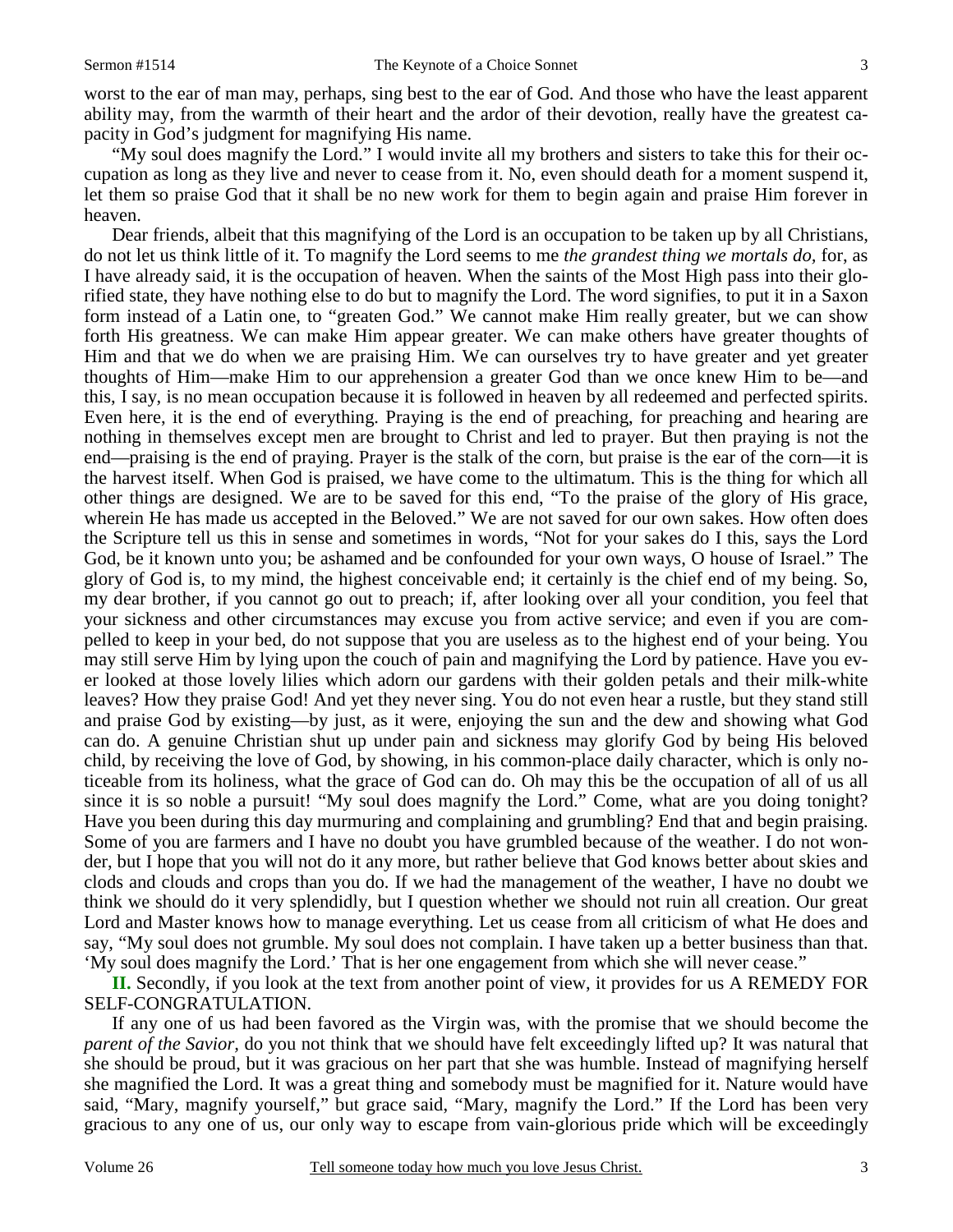worst to the ear of man may, perhaps, sing best to the ear of God. And those who have the least apparent ability may, from the warmth of their heart and the ardor of their devotion, really have the greatest capacity in God's judgment for magnifying His name.

 "My soul does magnify the Lord." I would invite all my brothers and sisters to take this for their occupation as long as they live and never to cease from it. No, even should death for a moment suspend it, let them so praise God that it shall be no new work for them to begin again and praise Him forever in heaven.

 Dear friends, albeit that this magnifying of the Lord is an occupation to be taken up by all Christians, do not let us think little of it. To magnify the Lord seems to me *the grandest thing we mortals do,* for, as I have already said, it is the occupation of heaven. When the saints of the Most High pass into their glorified state, they have nothing else to do but to magnify the Lord. The word signifies, to put it in a Saxon form instead of a Latin one, to "greaten God." We cannot make Him really greater, but we can show forth His greatness. We can make Him appear greater. We can make others have greater thoughts of Him and that we do when we are praising Him. We can ourselves try to have greater and yet greater thoughts of Him—make Him to our apprehension a greater God than we once knew Him to be—and this, I say, is no mean occupation because it is followed in heaven by all redeemed and perfected spirits. Even here, it is the end of everything. Praying is the end of preaching, for preaching and hearing are nothing in themselves except men are brought to Christ and led to prayer. But then praying is not the end—praising is the end of praying. Prayer is the stalk of the corn, but praise is the ear of the corn—it is the harvest itself. When God is praised, we have come to the ultimatum. This is the thing for which all other things are designed. We are to be saved for this end, "To the praise of the glory of His grace, wherein He has made us accepted in the Beloved." We are not saved for our own sakes. How often does the Scripture tell us this in sense and sometimes in words, "Not for your sakes do I this, says the Lord God, be it known unto you; be ashamed and be confounded for your own ways, O house of Israel." The glory of God is, to my mind, the highest conceivable end; it certainly is the chief end of my being. So, my dear brother, if you cannot go out to preach; if, after looking over all your condition, you feel that your sickness and other circumstances may excuse you from active service; and even if you are compelled to keep in your bed, do not suppose that you are useless as to the highest end of your being. You may still serve Him by lying upon the couch of pain and magnifying the Lord by patience. Have you ever looked at those lovely lilies which adorn our gardens with their golden petals and their milk-white leaves? How they praise God! And yet they never sing. You do not even hear a rustle, but they stand still and praise God by existing—by just, as it were, enjoying the sun and the dew and showing what God can do. A genuine Christian shut up under pain and sickness may glorify God by being His beloved child, by receiving the love of God, by showing, in his common-place daily character, which is only noticeable from its holiness, what the grace of God can do. Oh may this be the occupation of all of us all since it is so noble a pursuit! "My soul does magnify the Lord." Come, what are you doing tonight? Have you been during this day murmuring and complaining and grumbling? End that and begin praising. Some of you are farmers and I have no doubt you have grumbled because of the weather. I do not wonder, but I hope that you will not do it any more, but rather believe that God knows better about skies and clods and clouds and crops than you do. If we had the management of the weather, I have no doubt we think we should do it very splendidly, but I question whether we should not ruin all creation. Our great Lord and Master knows how to manage everything. Let us cease from all criticism of what He does and say, "My soul does not grumble. My soul does not complain. I have taken up a better business than that. 'My soul does magnify the Lord.' That is her one engagement from which she will never cease."

**II.** Secondly, if you look at the text from another point of view, it provides for us A REMEDY FOR SELF-CONGRATULATION.

 If any one of us had been favored as the Virgin was, with the promise that we should become the *parent of the Savior,* do you not think that we should have felt exceedingly lifted up? It was natural that she should be proud, but it was gracious on her part that she was humble. Instead of magnifying herself she magnified the Lord. It was a great thing and somebody must be magnified for it. Nature would have said, "Mary, magnify yourself," but grace said, "Mary, magnify the Lord." If the Lord has been very gracious to any one of us, our only way to escape from vain-glorious pride which will be exceedingly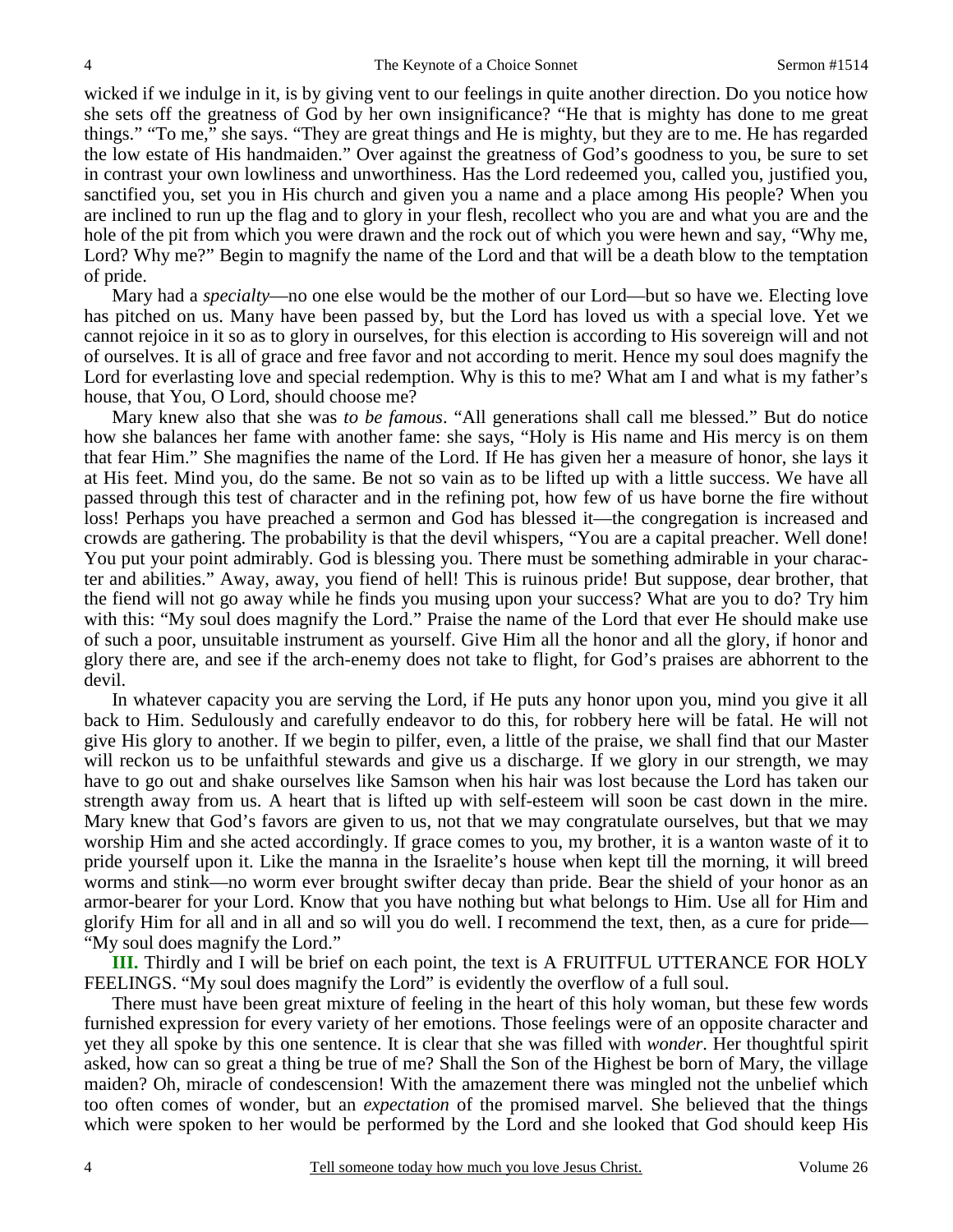wicked if we indulge in it, is by giving vent to our feelings in quite another direction. Do you notice how she sets off the greatness of God by her own insignificance? "He that is mighty has done to me great things." "To me," she says. "They are great things and He is mighty, but they are to me. He has regarded the low estate of His handmaiden." Over against the greatness of God's goodness to you, be sure to set in contrast your own lowliness and unworthiness. Has the Lord redeemed you, called you, justified you, sanctified you, set you in His church and given you a name and a place among His people? When you are inclined to run up the flag and to glory in your flesh, recollect who you are and what you are and the hole of the pit from which you were drawn and the rock out of which you were hewn and say, "Why me, Lord? Why me?" Begin to magnify the name of the Lord and that will be a death blow to the temptation of pride.

 Mary had a *specialty*—no one else would be the mother of our Lord—but so have we. Electing love has pitched on us. Many have been passed by, but the Lord has loved us with a special love. Yet we cannot rejoice in it so as to glory in ourselves, for this election is according to His sovereign will and not of ourselves. It is all of grace and free favor and not according to merit. Hence my soul does magnify the Lord for everlasting love and special redemption. Why is this to me? What am I and what is my father's house, that You, O Lord, should choose me?

 Mary knew also that she was *to be famous*. "All generations shall call me blessed." But do notice how she balances her fame with another fame: she says, "Holy is His name and His mercy is on them that fear Him." She magnifies the name of the Lord. If He has given her a measure of honor, she lays it at His feet. Mind you, do the same. Be not so vain as to be lifted up with a little success. We have all passed through this test of character and in the refining pot, how few of us have borne the fire without loss! Perhaps you have preached a sermon and God has blessed it—the congregation is increased and crowds are gathering. The probability is that the devil whispers, "You are a capital preacher. Well done! You put your point admirably. God is blessing you. There must be something admirable in your character and abilities." Away, away, you fiend of hell! This is ruinous pride! But suppose, dear brother, that the fiend will not go away while he finds you musing upon your success? What are you to do? Try him with this: "My soul does magnify the Lord." Praise the name of the Lord that ever He should make use of such a poor, unsuitable instrument as yourself. Give Him all the honor and all the glory, if honor and glory there are, and see if the arch-enemy does not take to flight, for God's praises are abhorrent to the devil.

 In whatever capacity you are serving the Lord, if He puts any honor upon you, mind you give it all back to Him. Sedulously and carefully endeavor to do this, for robbery here will be fatal. He will not give His glory to another. If we begin to pilfer, even, a little of the praise, we shall find that our Master will reckon us to be unfaithful stewards and give us a discharge. If we glory in our strength, we may have to go out and shake ourselves like Samson when his hair was lost because the Lord has taken our strength away from us. A heart that is lifted up with self-esteem will soon be cast down in the mire. Mary knew that God's favors are given to us, not that we may congratulate ourselves, but that we may worship Him and she acted accordingly. If grace comes to you, my brother, it is a wanton waste of it to pride yourself upon it. Like the manna in the Israelite's house when kept till the morning, it will breed worms and stink—no worm ever brought swifter decay than pride. Bear the shield of your honor as an armor-bearer for your Lord. Know that you have nothing but what belongs to Him. Use all for Him and glorify Him for all and in all and so will you do well. I recommend the text, then, as a cure for pride— "My soul does magnify the Lord."

**III.** Thirdly and I will be brief on each point, the text is A FRUITFUL UTTERANCE FOR HOLY FEELINGS. "My soul does magnify the Lord" is evidently the overflow of a full soul.

 There must have been great mixture of feeling in the heart of this holy woman, but these few words furnished expression for every variety of her emotions. Those feelings were of an opposite character and yet they all spoke by this one sentence. It is clear that she was filled with *wonder*. Her thoughtful spirit asked, how can so great a thing be true of me? Shall the Son of the Highest be born of Mary, the village maiden? Oh, miracle of condescension! With the amazement there was mingled not the unbelief which too often comes of wonder, but an *expectation* of the promised marvel. She believed that the things which were spoken to her would be performed by the Lord and she looked that God should keep His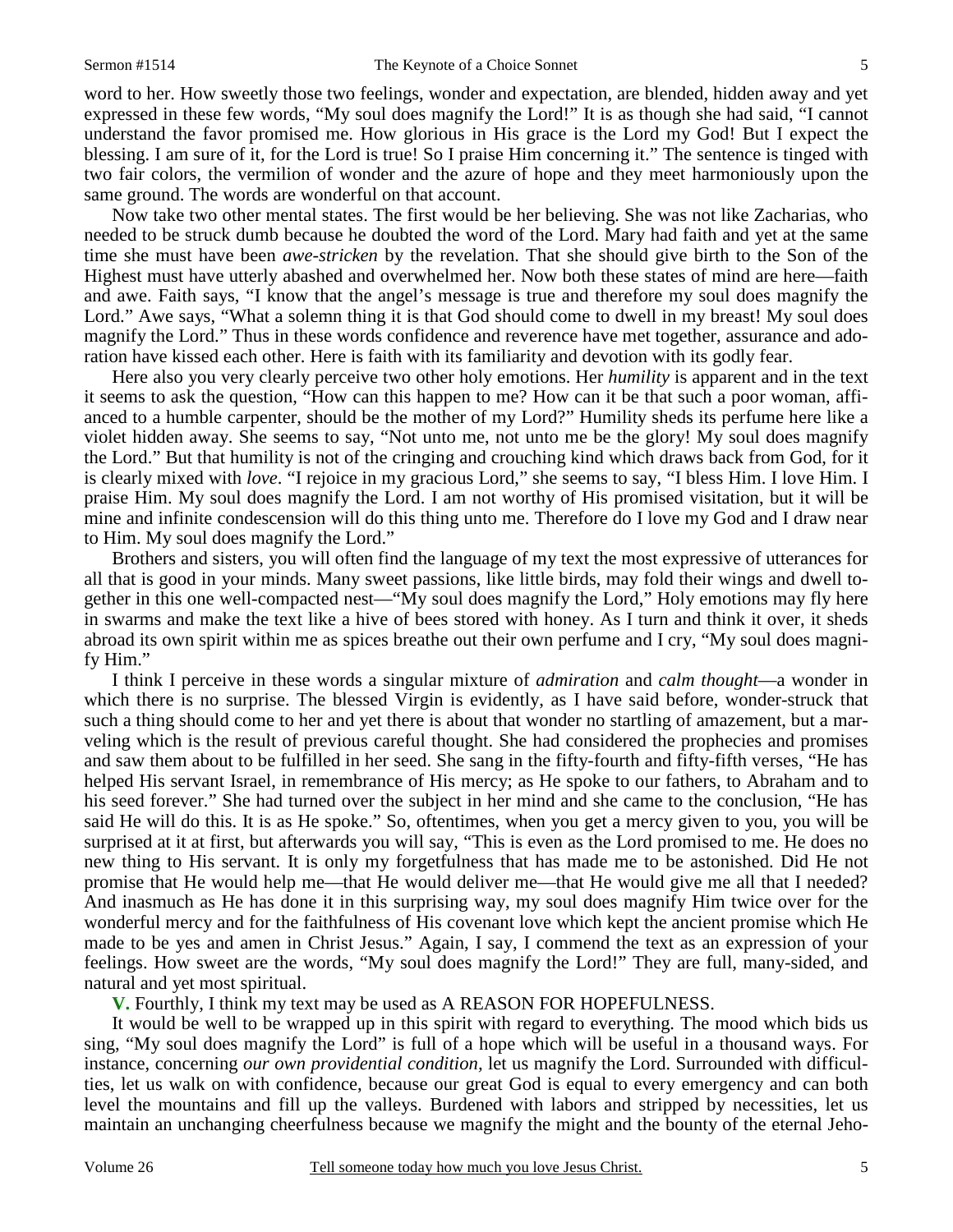word to her. How sweetly those two feelings, wonder and expectation, are blended, hidden away and yet expressed in these few words, "My soul does magnify the Lord!" It is as though she had said, "I cannot understand the favor promised me. How glorious in His grace is the Lord my God! But I expect the blessing. I am sure of it, for the Lord is true! So I praise Him concerning it." The sentence is tinged with two fair colors, the vermilion of wonder and the azure of hope and they meet harmoniously upon the same ground. The words are wonderful on that account.

 Now take two other mental states. The first would be her believing. She was not like Zacharias, who needed to be struck dumb because he doubted the word of the Lord. Mary had faith and yet at the same time she must have been *awe-stricken* by the revelation. That she should give birth to the Son of the Highest must have utterly abashed and overwhelmed her. Now both these states of mind are here—faith and awe. Faith says, "I know that the angel's message is true and therefore my soul does magnify the Lord." Awe says, "What a solemn thing it is that God should come to dwell in my breast! My soul does magnify the Lord." Thus in these words confidence and reverence have met together, assurance and adoration have kissed each other. Here is faith with its familiarity and devotion with its godly fear.

 Here also you very clearly perceive two other holy emotions. Her *humility* is apparent and in the text it seems to ask the question, "How can this happen to me? How can it be that such a poor woman, affianced to a humble carpenter, should be the mother of my Lord?" Humility sheds its perfume here like a violet hidden away. She seems to say, "Not unto me, not unto me be the glory! My soul does magnify the Lord." But that humility is not of the cringing and crouching kind which draws back from God, for it is clearly mixed with *love*. "I rejoice in my gracious Lord," she seems to say, "I bless Him. I love Him. I praise Him. My soul does magnify the Lord. I am not worthy of His promised visitation, but it will be mine and infinite condescension will do this thing unto me. Therefore do I love my God and I draw near to Him. My soul does magnify the Lord."

 Brothers and sisters, you will often find the language of my text the most expressive of utterances for all that is good in your minds. Many sweet passions, like little birds, may fold their wings and dwell together in this one well-compacted nest—"My soul does magnify the Lord," Holy emotions may fly here in swarms and make the text like a hive of bees stored with honey. As I turn and think it over, it sheds abroad its own spirit within me as spices breathe out their own perfume and I cry, "My soul does magnify Him."

 I think I perceive in these words a singular mixture of *admiration* and *calm thought*—a wonder in which there is no surprise. The blessed Virgin is evidently, as I have said before, wonder-struck that such a thing should come to her and yet there is about that wonder no startling of amazement, but a marveling which is the result of previous careful thought. She had considered the prophecies and promises and saw them about to be fulfilled in her seed. She sang in the fifty-fourth and fifty-fifth verses, "He has helped His servant Israel, in remembrance of His mercy; as He spoke to our fathers, to Abraham and to his seed forever." She had turned over the subject in her mind and she came to the conclusion, "He has said He will do this. It is as He spoke." So, oftentimes, when you get a mercy given to you, you will be surprised at it at first, but afterwards you will say, "This is even as the Lord promised to me. He does no new thing to His servant. It is only my forgetfulness that has made me to be astonished. Did He not promise that He would help me—that He would deliver me—that He would give me all that I needed? And inasmuch as He has done it in this surprising way, my soul does magnify Him twice over for the wonderful mercy and for the faithfulness of His covenant love which kept the ancient promise which He made to be yes and amen in Christ Jesus." Again, I say, I commend the text as an expression of your feelings. How sweet are the words, "My soul does magnify the Lord!" They are full, many-sided, and natural and yet most spiritual.

 **V.** Fourthly, I think my text may be used as A REASON FOR HOPEFULNESS.

 It would be well to be wrapped up in this spirit with regard to everything. The mood which bids us sing, "My soul does magnify the Lord" is full of a hope which will be useful in a thousand ways. For instance, concerning *our own providential condition,* let us magnify the Lord. Surrounded with difficulties, let us walk on with confidence, because our great God is equal to every emergency and can both level the mountains and fill up the valleys. Burdened with labors and stripped by necessities, let us maintain an unchanging cheerfulness because we magnify the might and the bounty of the eternal Jeho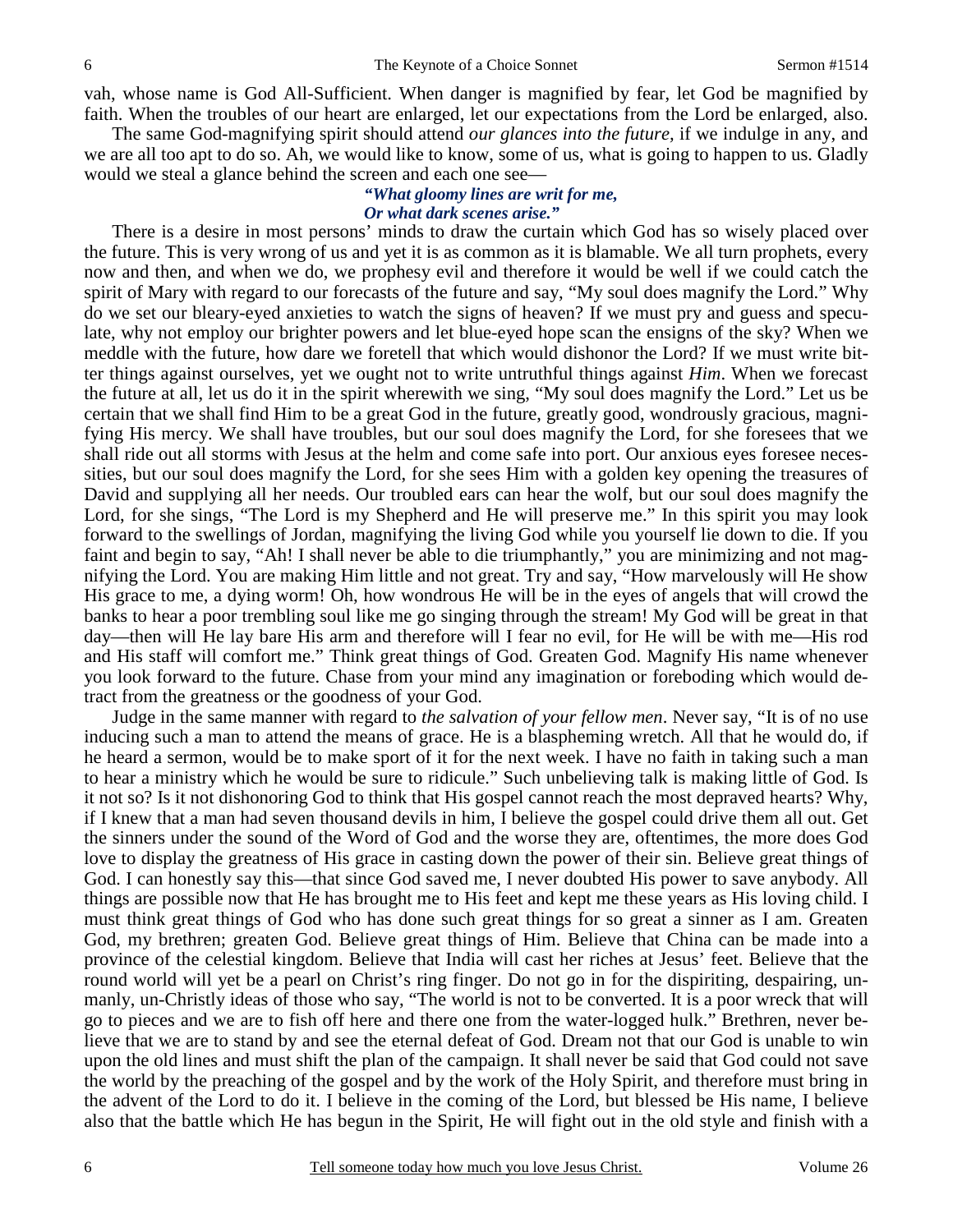vah, whose name is God All-Sufficient. When danger is magnified by fear, let God be magnified by faith. When the troubles of our heart are enlarged, let our expectations from the Lord be enlarged, also.

 The same God-magnifying spirit should attend *our glances into the future,* if we indulge in any, and we are all too apt to do so. Ah, we would like to know, some of us, what is going to happen to us. Gladly would we steal a glance behind the screen and each one see—

### *"What gloomy lines are writ for me, Or what dark scenes arise."*

 There is a desire in most persons' minds to draw the curtain which God has so wisely placed over the future. This is very wrong of us and yet it is as common as it is blamable. We all turn prophets, every now and then, and when we do, we prophesy evil and therefore it would be well if we could catch the spirit of Mary with regard to our forecasts of the future and say, "My soul does magnify the Lord." Why do we set our bleary-eyed anxieties to watch the signs of heaven? If we must pry and guess and speculate, why not employ our brighter powers and let blue-eyed hope scan the ensigns of the sky? When we meddle with the future, how dare we foretell that which would dishonor the Lord? If we must write bitter things against ourselves, yet we ought not to write untruthful things against *Him*. When we forecast the future at all, let us do it in the spirit wherewith we sing, "My soul does magnify the Lord." Let us be certain that we shall find Him to be a great God in the future, greatly good, wondrously gracious, magnifying His mercy. We shall have troubles, but our soul does magnify the Lord, for she foresees that we shall ride out all storms with Jesus at the helm and come safe into port. Our anxious eyes foresee necessities, but our soul does magnify the Lord, for she sees Him with a golden key opening the treasures of David and supplying all her needs. Our troubled ears can hear the wolf, but our soul does magnify the Lord, for she sings, "The Lord is my Shepherd and He will preserve me." In this spirit you may look forward to the swellings of Jordan, magnifying the living God while you yourself lie down to die. If you faint and begin to say, "Ah! I shall never be able to die triumphantly," you are minimizing and not magnifying the Lord. You are making Him little and not great. Try and say, "How marvelously will He show His grace to me, a dying worm! Oh, how wondrous He will be in the eyes of angels that will crowd the banks to hear a poor trembling soul like me go singing through the stream! My God will be great in that day—then will He lay bare His arm and therefore will I fear no evil, for He will be with me—His rod and His staff will comfort me." Think great things of God. Greaten God. Magnify His name whenever you look forward to the future. Chase from your mind any imagination or foreboding which would detract from the greatness or the goodness of your God.

 Judge in the same manner with regard to *the salvation of your fellow men*. Never say, "It is of no use inducing such a man to attend the means of grace. He is a blaspheming wretch. All that he would do, if he heard a sermon, would be to make sport of it for the next week. I have no faith in taking such a man to hear a ministry which he would be sure to ridicule." Such unbelieving talk is making little of God. Is it not so? Is it not dishonoring God to think that His gospel cannot reach the most depraved hearts? Why, if I knew that a man had seven thousand devils in him, I believe the gospel could drive them all out. Get the sinners under the sound of the Word of God and the worse they are, oftentimes, the more does God love to display the greatness of His grace in casting down the power of their sin. Believe great things of God. I can honestly say this—that since God saved me, I never doubted His power to save anybody. All things are possible now that He has brought me to His feet and kept me these years as His loving child. I must think great things of God who has done such great things for so great a sinner as I am. Greaten God, my brethren; greaten God. Believe great things of Him. Believe that China can be made into a province of the celestial kingdom. Believe that India will cast her riches at Jesus' feet. Believe that the round world will yet be a pearl on Christ's ring finger. Do not go in for the dispiriting, despairing, unmanly, un-Christly ideas of those who say, "The world is not to be converted. It is a poor wreck that will go to pieces and we are to fish off here and there one from the water-logged hulk." Brethren, never believe that we are to stand by and see the eternal defeat of God. Dream not that our God is unable to win upon the old lines and must shift the plan of the campaign. It shall never be said that God could not save the world by the preaching of the gospel and by the work of the Holy Spirit, and therefore must bring in the advent of the Lord to do it. I believe in the coming of the Lord, but blessed be His name, I believe also that the battle which He has begun in the Spirit, He will fight out in the old style and finish with a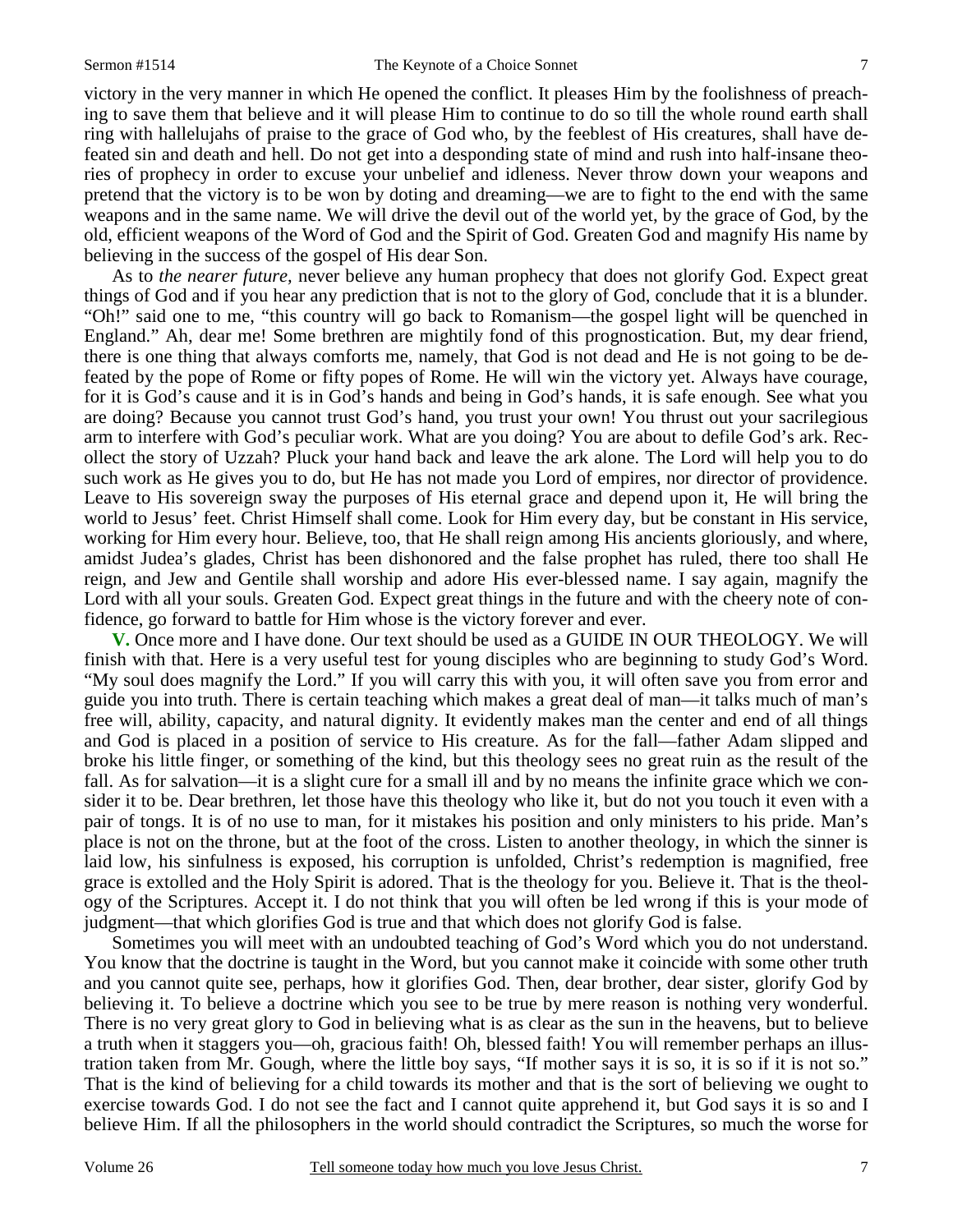victory in the very manner in which He opened the conflict. It pleases Him by the foolishness of preaching to save them that believe and it will please Him to continue to do so till the whole round earth shall ring with hallelujahs of praise to the grace of God who, by the feeblest of His creatures, shall have defeated sin and death and hell. Do not get into a desponding state of mind and rush into half-insane theories of prophecy in order to excuse your unbelief and idleness. Never throw down your weapons and pretend that the victory is to be won by doting and dreaming—we are to fight to the end with the same weapons and in the same name. We will drive the devil out of the world yet, by the grace of God, by the old, efficient weapons of the Word of God and the Spirit of God. Greaten God and magnify His name by believing in the success of the gospel of His dear Son.

 As to *the nearer future,* never believe any human prophecy that does not glorify God. Expect great things of God and if you hear any prediction that is not to the glory of God, conclude that it is a blunder. "Oh!" said one to me, "this country will go back to Romanism—the gospel light will be quenched in England." Ah, dear me! Some brethren are mightily fond of this prognostication. But, my dear friend, there is one thing that always comforts me, namely, that God is not dead and He is not going to be defeated by the pope of Rome or fifty popes of Rome. He will win the victory yet. Always have courage, for it is God's cause and it is in God's hands and being in God's hands, it is safe enough. See what you are doing? Because you cannot trust God's hand, you trust your own! You thrust out your sacrilegious arm to interfere with God's peculiar work. What are you doing? You are about to defile God's ark. Recollect the story of Uzzah? Pluck your hand back and leave the ark alone. The Lord will help you to do such work as He gives you to do, but He has not made you Lord of empires, nor director of providence. Leave to His sovereign sway the purposes of His eternal grace and depend upon it, He will bring the world to Jesus' feet. Christ Himself shall come. Look for Him every day, but be constant in His service, working for Him every hour. Believe, too, that He shall reign among His ancients gloriously, and where, amidst Judea's glades, Christ has been dishonored and the false prophet has ruled, there too shall He reign, and Jew and Gentile shall worship and adore His ever-blessed name. I say again, magnify the Lord with all your souls. Greaten God. Expect great things in the future and with the cheery note of confidence, go forward to battle for Him whose is the victory forever and ever.

**V.** Once more and I have done. Our text should be used as a GUIDE IN OUR THEOLOGY. We will finish with that. Here is a very useful test for young disciples who are beginning to study God's Word. "My soul does magnify the Lord." If you will carry this with you, it will often save you from error and guide you into truth. There is certain teaching which makes a great deal of man—it talks much of man's free will, ability, capacity, and natural dignity. It evidently makes man the center and end of all things and God is placed in a position of service to His creature. As for the fall—father Adam slipped and broke his little finger, or something of the kind, but this theology sees no great ruin as the result of the fall. As for salvation—it is a slight cure for a small ill and by no means the infinite grace which we consider it to be. Dear brethren, let those have this theology who like it, but do not you touch it even with a pair of tongs. It is of no use to man, for it mistakes his position and only ministers to his pride. Man's place is not on the throne, but at the foot of the cross. Listen to another theology, in which the sinner is laid low, his sinfulness is exposed, his corruption is unfolded, Christ's redemption is magnified, free grace is extolled and the Holy Spirit is adored. That is the theology for you. Believe it. That is the theology of the Scriptures. Accept it. I do not think that you will often be led wrong if this is your mode of judgment—that which glorifies God is true and that which does not glorify God is false.

 Sometimes you will meet with an undoubted teaching of God's Word which you do not understand. You know that the doctrine is taught in the Word, but you cannot make it coincide with some other truth and you cannot quite see, perhaps, how it glorifies God. Then, dear brother, dear sister, glorify God by believing it. To believe a doctrine which you see to be true by mere reason is nothing very wonderful. There is no very great glory to God in believing what is as clear as the sun in the heavens, but to believe a truth when it staggers you—oh, gracious faith! Oh, blessed faith! You will remember perhaps an illustration taken from Mr. Gough, where the little boy says, "If mother says it is so, it is so if it is not so." That is the kind of believing for a child towards its mother and that is the sort of believing we ought to exercise towards God. I do not see the fact and I cannot quite apprehend it, but God says it is so and I believe Him. If all the philosophers in the world should contradict the Scriptures, so much the worse for